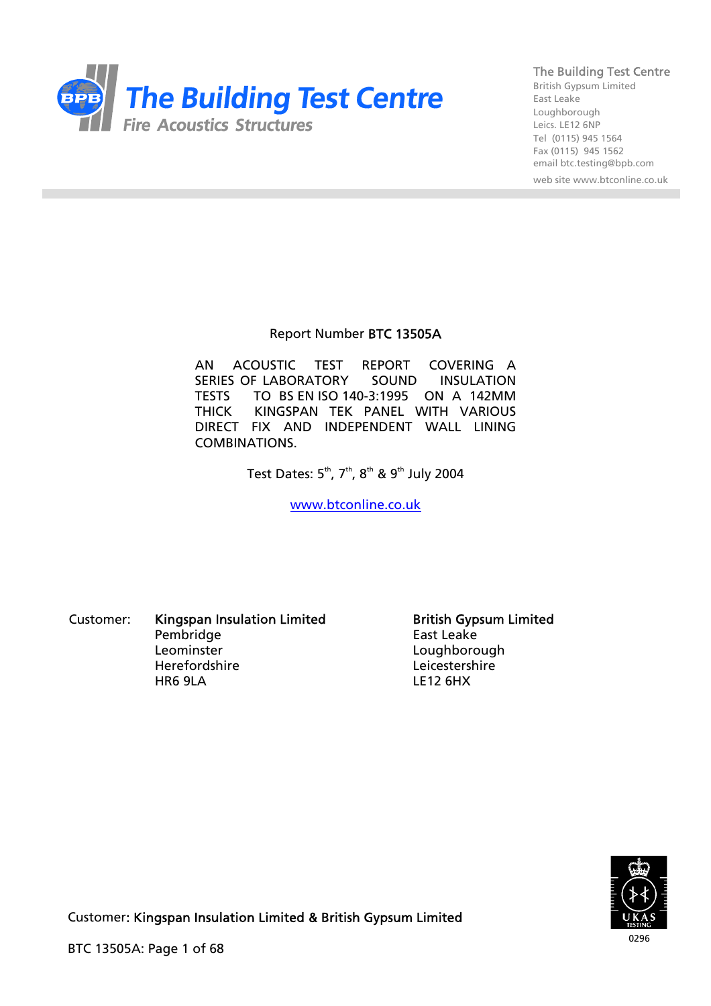

British Gypsum Limited East Leake Loughborough Leics. LE12 6NP Tel (0115) 945 1564 Fax (0115) 945 1562 email btc.testing@bpb.com

web site www.btconline.co.uk

#### Report Number BTC 13505A

AN ACOUSTIC TEST REPORT COVERING A SERIES OF LABORATORY SOUND INSULATION TESTS TO BS EN ISO 140-3:1995 ON A 142MM THICK KINGSPAN TEK PANEL WITH VARIOUS DIRECT FIX AND INDEPENDENT WALL LINING COMBINATIONS.

Test Dates:  $5^{th}$ ,  $7^{th}$ ,  $8^{th}$  &  $9^{th}$  July 2004

[www.btconline.co.uk](http://www.btconline.co.uk/)

Customer: Kingspan Insulation Limited **British Gypsum Limited** Pembridge East Leake Leominster Loughborough HR6 9LA LE12 6HX

Leicestershire

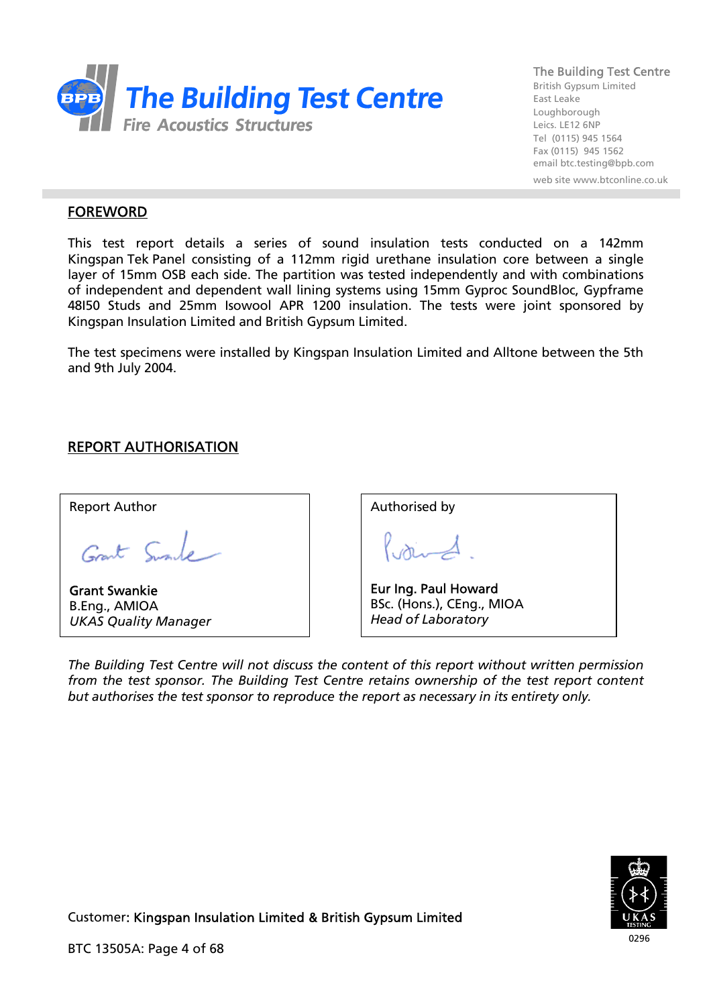

British Gypsum Limited East Leake Loughborough Leics. LE12 6NP Tel (0115) 945 1564 Fax (0115) 945 1562 email btc.testing@bpb.com

web site www.btconline.co.uk

## FOREWORD

This test report details a series of sound insulation tests conducted on a 142mm Kingspan Tek Panel consisting of a 112mm rigid urethane insulation core between a single layer of 15mm OSB each side. The partition was tested independently and with combinations of independent and dependent wall lining systems using 15mm Gyproc SoundBloc, Gypframe 48I50 Studs and 25mm Isowool APR 1200 insulation. The tests were joint sponsored by Kingspan Insulation Limited and British Gypsum Limited.

The test specimens were installed by Kingspan Insulation Limited and Alltone between the 5th and 9th July 2004.

# REPORT AUTHORISATION

Report Author

Grant Sumle

Grant Swankie B.Eng., AMIOA *UKAS Quality Manager*

| Authorised by                                   |
|-------------------------------------------------|
|                                                 |
| Eur Ing. Paul Howard                            |
| BSc. (Hons.), CEng., MIOA<br>Head of Laboratory |

*The Building Test Centre will not discuss the content of this report without written permission from the test sponsor. The Building Test Centre retains ownership of the test report content but authorises the test sponsor to reproduce the report as necessary in its entirety only.* 

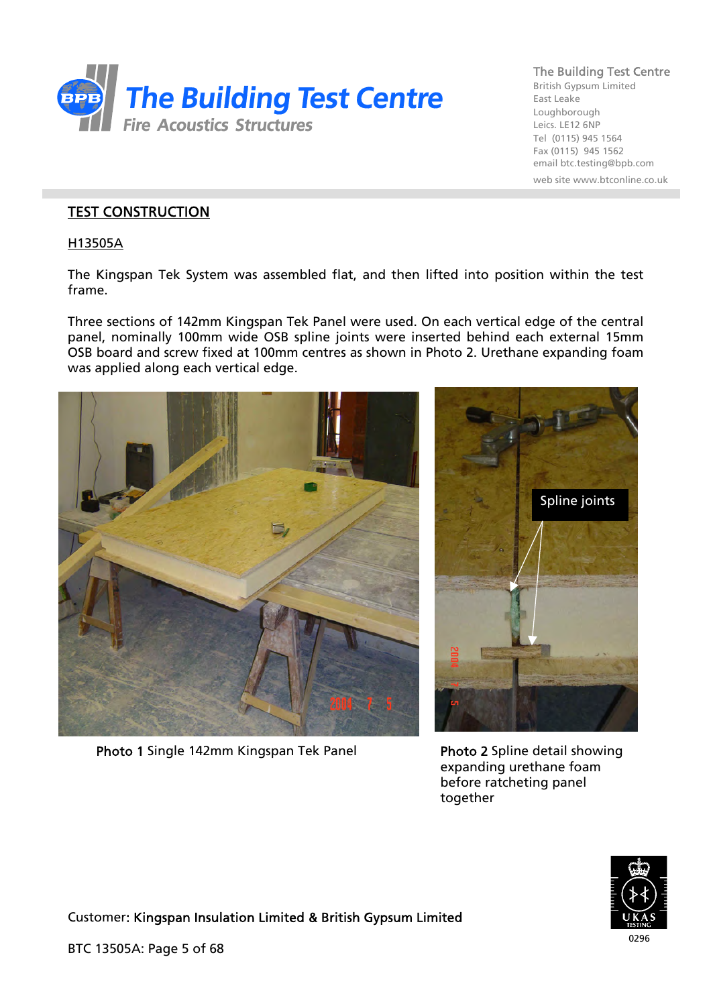

British Gypsum Limited East Leake Loughborough Leics. LE12 6NP Tel (0115) 945 1564 Fax (0115) 945 1562 email btc.testing@bpb.com web site www.btconline.co.uk

## TEST CONSTRUCTION

H13505A

The Kingspan Tek System was assembled flat, and then lifted into position within the test frame.

Three sections of 142mm Kingspan Tek Panel were used. On each vertical edge of the central panel, nominally 100mm wide OSB spline joints were inserted behind each external 15mm OSB board and screw fixed at 100mm centres as shown in Photo 2. Urethane expanding foam was applied along each vertical edge.



Photo 1 Single 142mm Kingspan Tek Panel Photo 2 Spline detail showing



expanding urethane foam before ratcheting panel together

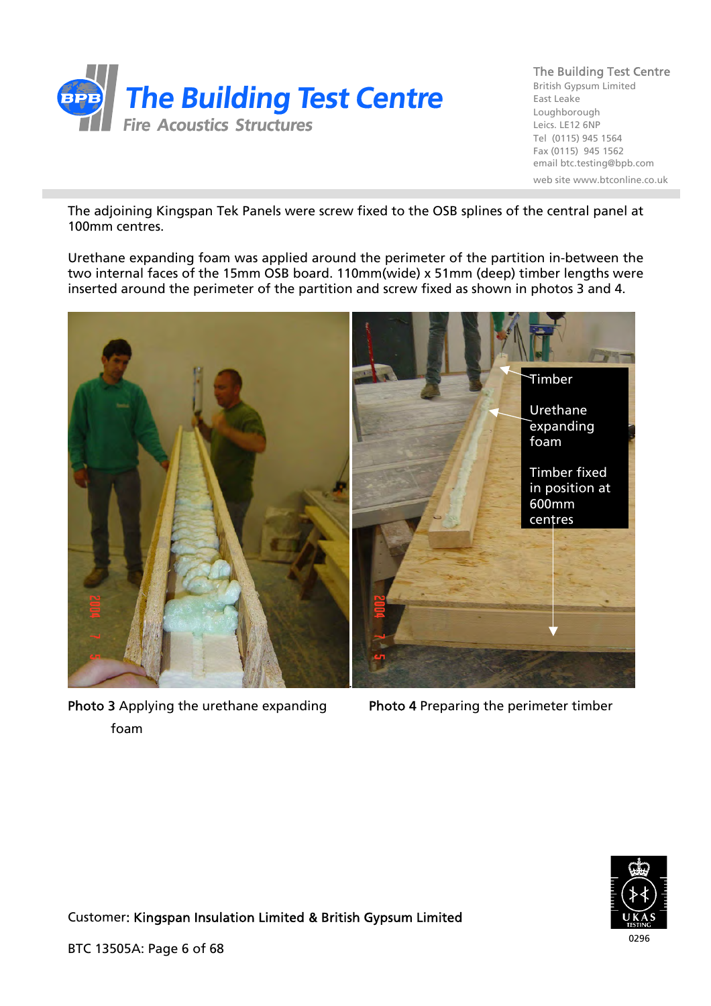

British Gypsum Limited East Leake Loughborough Leics. LE12 6NP Tel (0115) 945 1564 Fax (0115) 945 1562 email btc.testing@bpb.com web site www.btconline.co.uk

The adjoining Kingspan Tek Panels were screw fixed to the OSB splines of the central panel at 100mm centres.

Urethane expanding foam was applied around the perimeter of the partition in-between the two internal faces of the 15mm OSB board. 110mm(wide) x 51mm (deep) timber lengths were inserted around the perimeter of the partition and screw fixed as shown in photos 3 and 4.



Photo 3 Applying the urethane expanding Photo 4 Preparing the perimeter timber foam

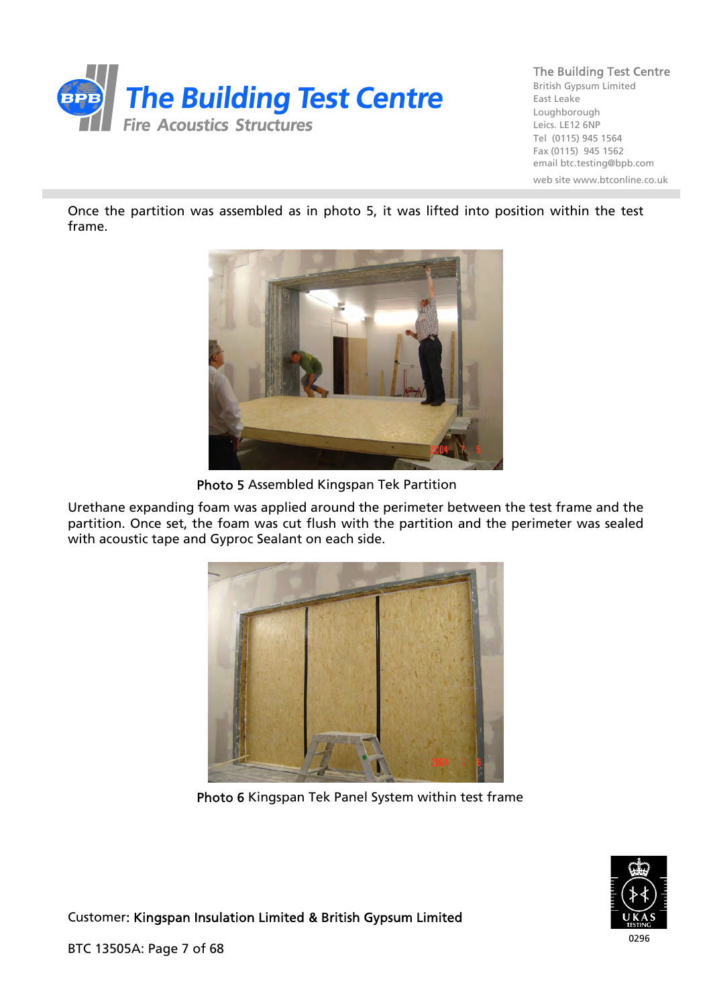

British Gypsum Limited East Leake Loughborough Leics. LE12 6NP Tel (0115) 945 1564 Fax (0115) 945 1562 email btc.testing@bpb.com web site www.btconline.co.uk

Once the partition was assembled as in photo 5, it was lifted into position within the test frame.



Photo 5 Assembled Kingspan Tek Partition

Urethane expanding foam was applied around the perimeter between the test frame and the partition. Once set, the foam was cut flush with the partition and the perimeter was sealed with acoustic tape and Gyproc Sealant on each side.



Photo 6 Kingspan Tek Panel System within test frame



Customer: Kingspan Insulation Limited & British Gypsum Limited

BTC 13505A: Page 7 of 68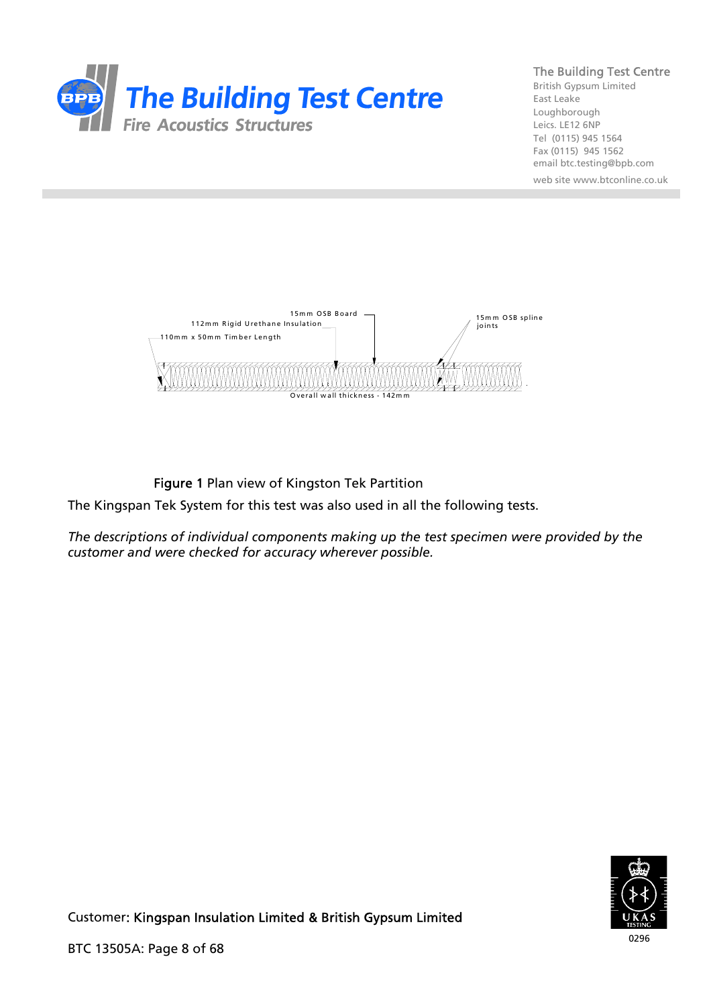

British Gypsum Limited East Leake Loughborough Leics. LE12 6NP Tel (0115) 945 1564 Fax (0115) 945 1562 email btc.testing@bpb.com web site www.btconline.co.uk



Figure 1 Plan view of Kingston Tek Partition

The Kingspan Tek System for this test was also used in all the following tests.

*The descriptions of individual components making up the test specimen were provided by the customer and were checked for accuracy wherever possible.* 

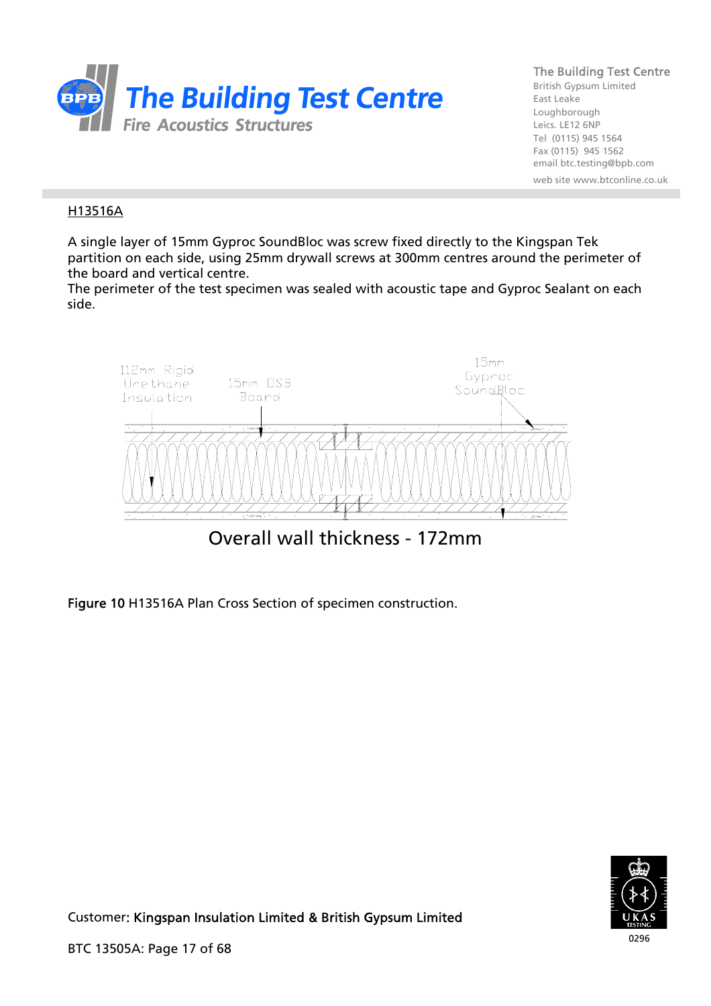

British Gypsum Limited East Leake Loughborough Leics. LE12 6NP Tel (0115) 945 1564 Fax (0115) 945 1562 email btc.testing@bpb.com web site www.btconline.co.uk

## H13516A

A single layer of 15mm Gyproc SoundBloc was screw fixed directly to the Kingspan Tek partition on each side, using 25mm drywall screws at 300mm centres around the perimeter of the board and vertical centre.

The perimeter of the test specimen was sealed with acoustic tape and Gyproc Sealant on each side.



Figure 10 H13516A Plan Cross Section of specimen construction.

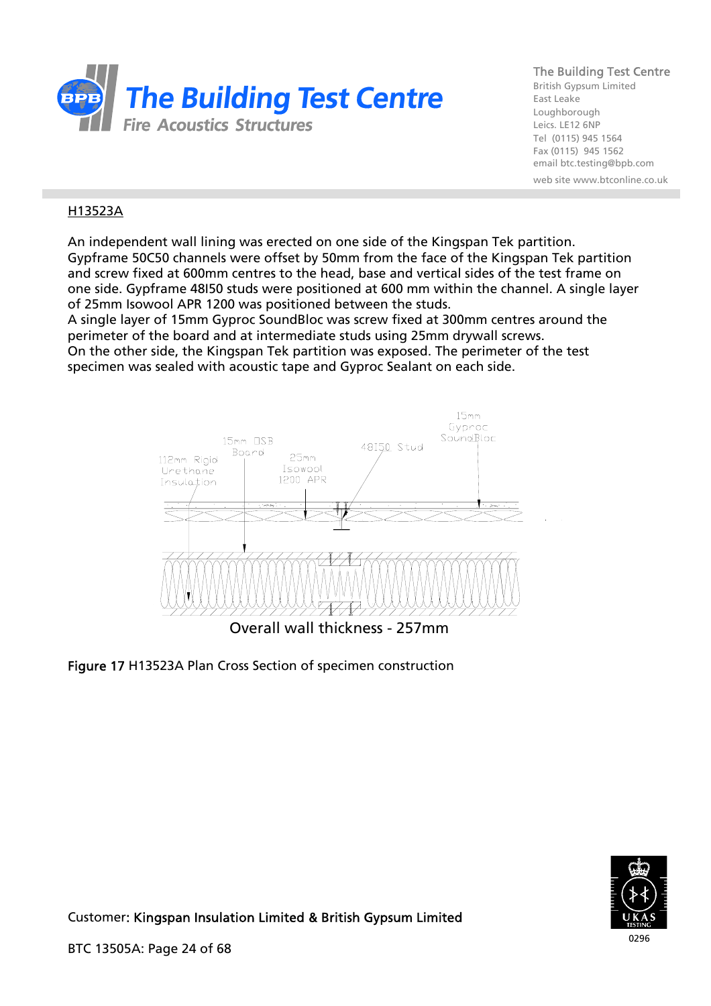

British Gypsum Limited East Leake Loughborough Leics. LE12 6NP Tel (0115) 945 1564 Fax (0115) 945 1562 email btc.testing@bpb.com web site www.btconline.co.uk

## H13523A

An independent wall lining was erected on one side of the Kingspan Tek partition. Gypframe 50C50 channels were offset by 50mm from the face of the Kingspan Tek partition and screw fixed at 600mm centres to the head, base and vertical sides of the test frame on one side. Gypframe 48I50 studs were positioned at 600 mm within the channel. A single layer of 25mm Isowool APR 1200 was positioned between the studs.

A single layer of 15mm Gyproc SoundBloc was screw fixed at 300mm centres around the perimeter of the board and at intermediate studs using 25mm drywall screws. On the other side, the Kingspan Tek partition was exposed. The perimeter of the test specimen was sealed with acoustic tape and Gyproc Sealant on each side.





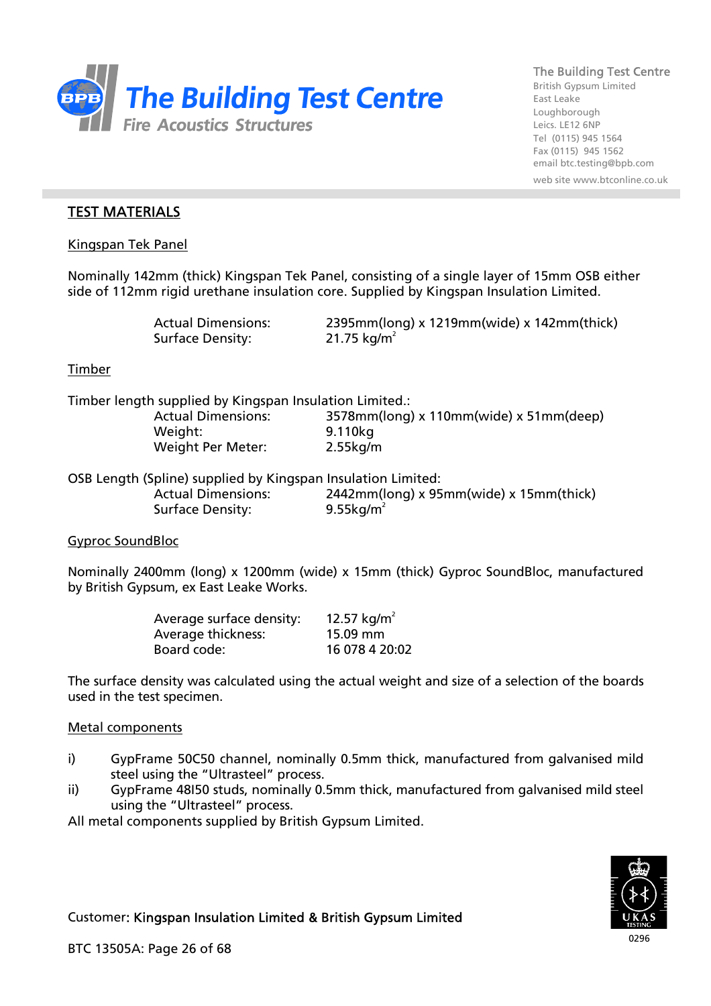

British Gypsum Limited East Leake Loughborough Leics. LE12 6NP Tel (0115) 945 1564 Fax (0115) 945 1562 email btc.testing@bpb.com web site www.btconline.co.uk

## TEST MATERIALS

Kingspan Tek Panel

Nominally 142mm (thick) Kingspan Tek Panel, consisting of a single layer of 15mm OSB either side of 112mm rigid urethane insulation core. Supplied by Kingspan Insulation Limited.

Surface Density:  $21.75 \text{ kg/m}^2$ 

Actual Dimensions: 2395mm(long) x 1219mm(wide) x 142mm(thick)

### Timber

Timber length supplied by Kingspan Insulation Limited.:

 Weight: 9.110kg Weight Per Meter: 2.55kg/m

Actual Dimensions: 3578mm(long) x 110mm(wide) x 51mm(deep)

OSB Length (Spline) supplied by Kingspan Insulation Limited: Actual Dimensions: 2442mm(long) x 95mm(wide) x 15mm(thick) Surface Density:  $9.55kg/m^2$ 

#### Gyproc SoundBloc

Nominally 2400mm (long) x 1200mm (wide) x 15mm (thick) Gyproc SoundBloc, manufactured by British Gypsum, ex East Leake Works.

| Average surface density: | 12.57 kg/m <sup>2</sup> |
|--------------------------|-------------------------|
| Average thickness:       | $15.09$ mm              |
| Board code:              | 16 078 4 20:02          |

The surface density was calculated using the actual weight and size of a selection of the boards used in the test specimen.

### Metal components

- i) GypFrame 50C50 channel, nominally 0.5mm thick, manufactured from galvanised mild steel using the "Ultrasteel" process.
- ii) GypFrame 48I50 studs, nominally 0.5mm thick, manufactured from galvanised mild steel using the "Ultrasteel" process.

All metal components supplied by British Gypsum Limited.

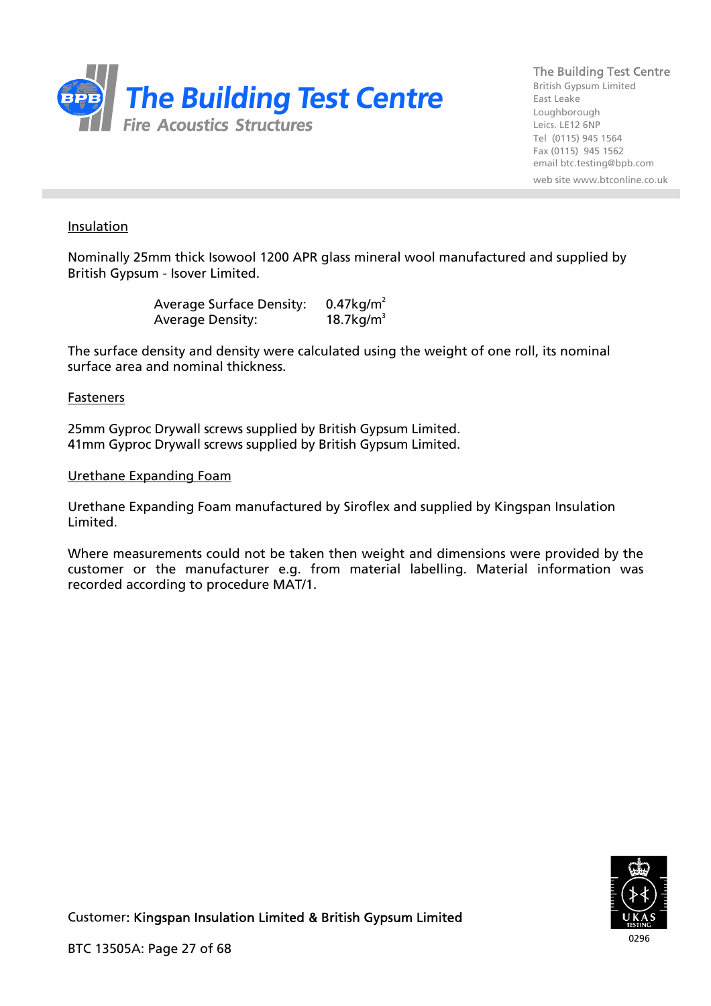

British Gypsum Limited East Leake Loughborough Leics. LE12 6NP Tel (0115) 945 1564 Fax (0115) 945 1562 email btc.testing@bpb.com web site www.btconline.co.uk

#### Insulation

Nominally 25mm thick Isowool 1200 APR glass mineral wool manufactured and supplied by British Gypsum - Isover Limited.

> Average Surface Density: 0.47kg/m<sup>2</sup> Average Density:  $18.7kg/m<sup>3</sup>$

The surface density and density were calculated using the weight of one roll, its nominal surface area and nominal thickness.

#### Fasteners

25mm Gyproc Drywall screws supplied by British Gypsum Limited. 41mm Gyproc Drywall screws supplied by British Gypsum Limited.

#### Urethane Expanding Foam

Urethane Expanding Foam manufactured by Siroflex and supplied by Kingspan Insulation Limited.

Where measurements could not be taken then weight and dimensions were provided by the customer or the manufacturer e.g. from material labelling. Material information was recorded according to procedure MAT/1.

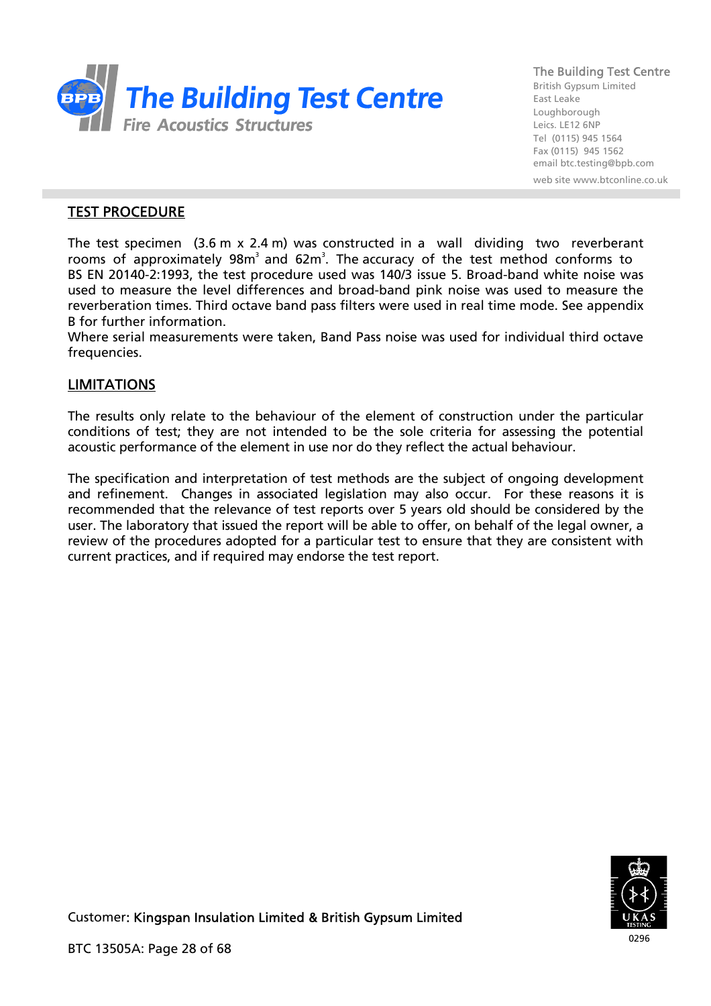

British Gypsum Limited East Leake Loughborough Leics. LE12 6NP Tel (0115) 945 1564 Fax (0115) 945 1562 email btc.testing@bpb.com

web site www.btconline.co.uk

# TEST PROCEDURE

The test specimen (3.6 m x 2.4 m) was constructed in a wall dividing two reverberant rooms of approximately  $98m<sup>3</sup>$  and  $62m<sup>3</sup>$ . The accuracy of the test method conforms to BS EN 20140-2:1993, the test procedure used was 140/3 issue 5. Broad-band white noise was used to measure the level differences and broad-band pink noise was used to measure the reverberation times. Third octave band pass filters were used in real time mode. See appendix B for further information.

Where serial measurements were taken, Band Pass noise was used for individual third octave frequencies.

# LIMITATIONS

The results only relate to the behaviour of the element of construction under the particular conditions of test; they are not intended to be the sole criteria for assessing the potential acoustic performance of the element in use nor do they reflect the actual behaviour.

The specification and interpretation of test methods are the subject of ongoing development and refinement. Changes in associated legislation may also occur. For these reasons it is recommended that the relevance of test reports over 5 years old should be considered by the user. The laboratory that issued the report will be able to offer, on behalf of the legal owner, a review of the procedures adopted for a particular test to ensure that they are consistent with current practices, and if required may endorse the test report.

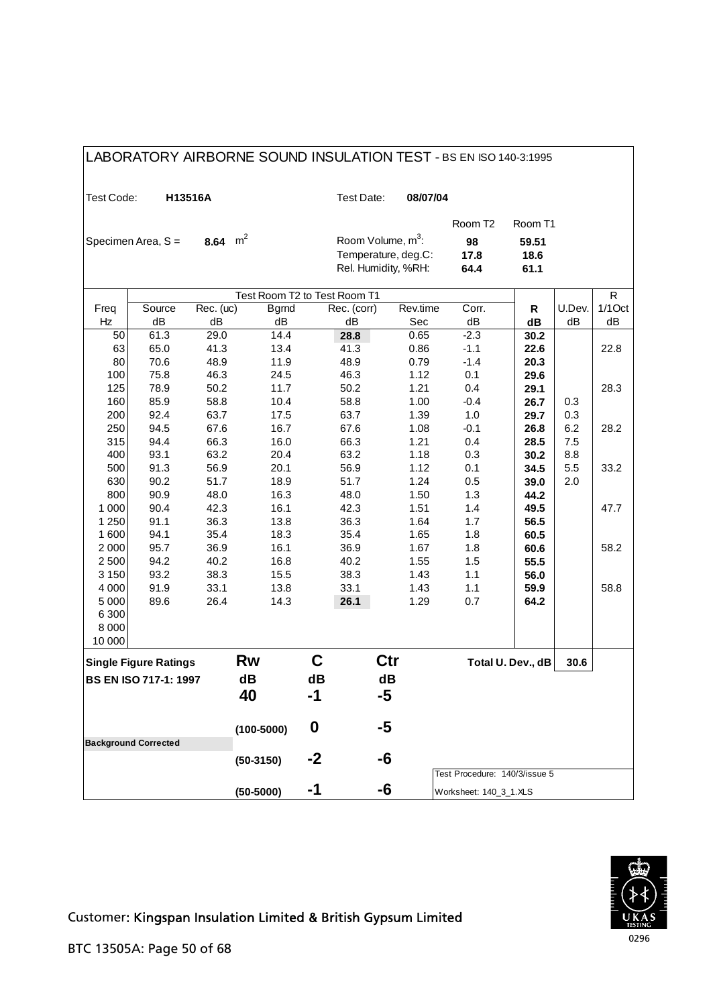| LABORATORY AIRBORNE SOUND INSULATION TEST - BS EN ISO 140-3:1995 |                              |           |                                              |    |                               |                     |                               |                   |        |           |  |  |
|------------------------------------------------------------------|------------------------------|-----------|----------------------------------------------|----|-------------------------------|---------------------|-------------------------------|-------------------|--------|-----------|--|--|
| Test Code:                                                       |                              | H13516A   |                                              |    | Test Date:                    | 08/07/04            |                               |                   |        |           |  |  |
|                                                                  |                              |           |                                              |    |                               |                     | Room T <sub>2</sub>           | Room T1           |        |           |  |  |
|                                                                  | Specimen Area, S =           | 8.64      | m <sup>2</sup>                               |    | Room Volume, m <sup>3</sup> : |                     | 98                            | 59.51             |        |           |  |  |
|                                                                  |                              |           |                                              |    |                               | Temperature, deg.C: | 17.8                          | 18.6              |        |           |  |  |
|                                                                  |                              |           |                                              |    | Rel. Humidity, %RH:           |                     | 64.4                          | 61.1              |        |           |  |  |
|                                                                  |                              |           |                                              | R  |                               |                     |                               |                   |        |           |  |  |
| Freq                                                             | Source                       | Rec. (uc) | Test Room T2 to Test Room T1<br><b>Bgrnd</b> |    | Rec. (corr)                   | Rev.time            | Corr.                         | R                 | U.Dev. | $1/1$ Oct |  |  |
| Hz                                                               | dB                           | dB        | dB                                           |    | dB                            | Sec                 | dB                            | dB                | dB     | dB        |  |  |
| 50                                                               | 61.3                         | 29.0      | $\overline{14.4}$                            |    | 28.8                          | 0.65                | $-2.3$                        | 30.2              |        |           |  |  |
| 63                                                               | 65.0                         | 41.3      | 13.4                                         |    | 41.3                          | 0.86                | $-1.1$                        | 22.6              |        | 22.8      |  |  |
| 80                                                               | 70.6                         | 48.9      | 11.9                                         |    | 48.9                          | 0.79                | $-1.4$                        | 20.3              |        |           |  |  |
| 100                                                              | 75.8                         | 46.3      | 24.5                                         |    | 46.3                          | 1.12                | 0.1                           | 29.6              |        |           |  |  |
| 125                                                              | 78.9                         | 50.2      | 11.7                                         |    | 50.2                          | 1.21                | 0.4                           | 29.1              |        | 28.3      |  |  |
| 160                                                              | 85.9                         | 58.8      | 10.4                                         |    | 58.8                          | 1.00                | $-0.4$                        | 26.7              | 0.3    |           |  |  |
| 200                                                              | 92.4                         | 63.7      | 17.5                                         |    | 63.7                          | 1.39                | 1.0                           | 29.7              | 0.3    |           |  |  |
| 250                                                              | 94.5                         | 67.6      | 16.7                                         |    | 67.6                          | 1.08                | $-0.1$                        | 26.8              | 6.2    | 28.2      |  |  |
| 315                                                              | 94.4                         | 66.3      | 16.0                                         |    | 66.3                          | 1.21                | 0.4                           | 28.5              | 7.5    |           |  |  |
| 400                                                              | 93.1                         | 63.2      | 20.4                                         |    | 63.2                          | 1.18                | 0.3                           | 30.2              | 8.8    |           |  |  |
| 500                                                              | 91.3                         | 56.9      | 20.1                                         |    | 56.9                          | 1.12                | 0.1                           | 34.5              | 5.5    | 33.2      |  |  |
| 630                                                              | 90.2                         | 51.7      | 18.9                                         |    | 51.7                          | 1.24                | 0.5                           | 39.0              | 2.0    |           |  |  |
| 800                                                              | 90.9                         | 48.0      | 16.3                                         |    | 48.0                          | 1.50                | 1.3                           | 44.2              |        |           |  |  |
| 1 0 0 0                                                          | 90.4                         | 42.3      | 16.1                                         |    | 42.3                          | 1.51                | 1.4                           | 49.5              |        | 47.7      |  |  |
| 1 2 5 0                                                          | 91.1                         | 36.3      | 13.8                                         |    | 36.3                          | 1.64                | 1.7                           | 56.5              |        |           |  |  |
| 1600                                                             | 94.1                         | 35.4      | 18.3                                         |    | 35.4                          | 1.65                | 1.8                           | 60.5              |        |           |  |  |
| 2000                                                             | 95.7                         | 36.9      | 16.1                                         |    | 36.9                          | 1.67                | 1.8                           | 60.6              |        | 58.2      |  |  |
| 2500                                                             | 94.2                         | 40.2      | 16.8                                         |    | 40.2                          | 1.55                | 1.5                           | 55.5              |        |           |  |  |
| 3 1 5 0                                                          | 93.2                         | 38.3      | 15.5                                         |    | 38.3                          | 1.43                | 1.1                           | 56.0              |        |           |  |  |
| 4 0 0 0                                                          | 91.9                         | 33.1      | 13.8                                         |    | 33.1                          | 1.43                | 1.1                           | 59.9              |        | 58.8      |  |  |
| 5 0 0 0                                                          | 89.6                         | 26.4      | 14.3                                         |    | 26.1                          | 1.29                | 0.7                           | 64.2              |        |           |  |  |
| 6300<br>8 0 0 0                                                  |                              |           |                                              |    |                               |                     |                               |                   |        |           |  |  |
| 10 000                                                           |                              |           |                                              |    |                               |                     |                               |                   |        |           |  |  |
|                                                                  | <b>Single Figure Ratings</b> |           | <b>Rw</b>                                    | C  |                               | Ctr                 |                               | Total U. Dev., dB | 30.6   |           |  |  |
|                                                                  | <b>BS EN ISO 717-1: 1997</b> |           | dB                                           | dB |                               | dB                  |                               |                   |        |           |  |  |
|                                                                  |                              |           | 40                                           | -1 |                               | -5                  |                               |                   |        |           |  |  |
|                                                                  |                              |           |                                              |    |                               |                     |                               |                   |        |           |  |  |
|                                                                  |                              |           | $(100 - 5000)$                               | 0  |                               | -5                  |                               |                   |        |           |  |  |
|                                                                  | <b>Background Corrected</b>  |           |                                              |    |                               |                     |                               |                   |        |           |  |  |
|                                                                  |                              |           | $(50-3150)$                                  | -2 |                               | -6                  |                               |                   |        |           |  |  |
|                                                                  |                              |           |                                              |    |                               |                     | Test Procedure: 140/3/issue 5 |                   |        |           |  |  |
|                                                                  |                              |           | $(50-5000)$                                  | -1 |                               | -6                  | Worksheet: 140_3_1.XLS        |                   |        |           |  |  |

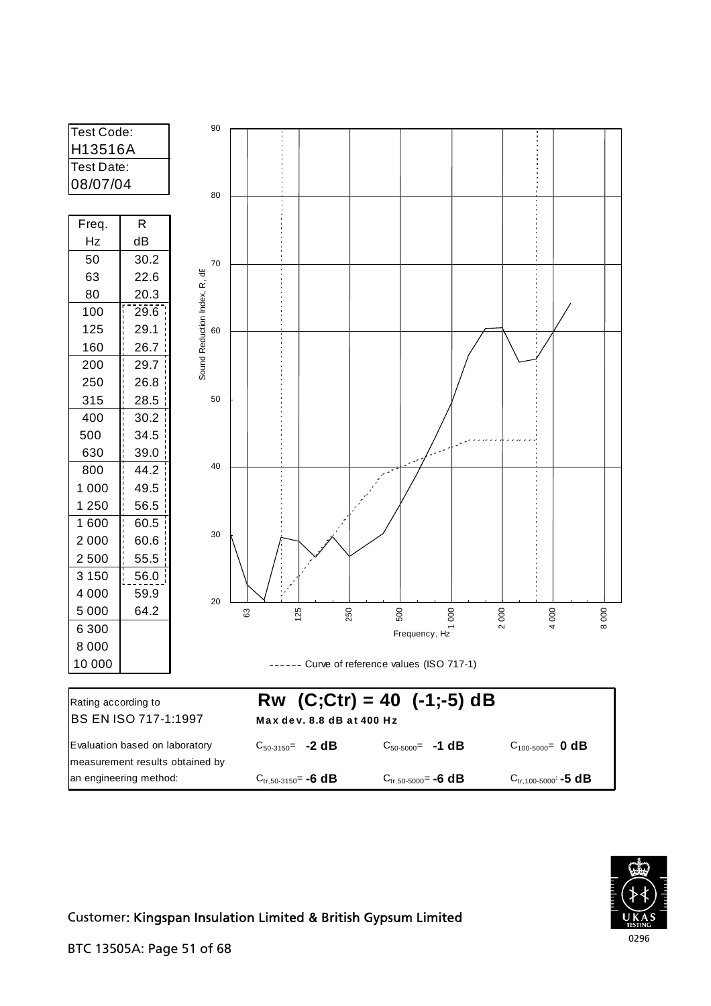

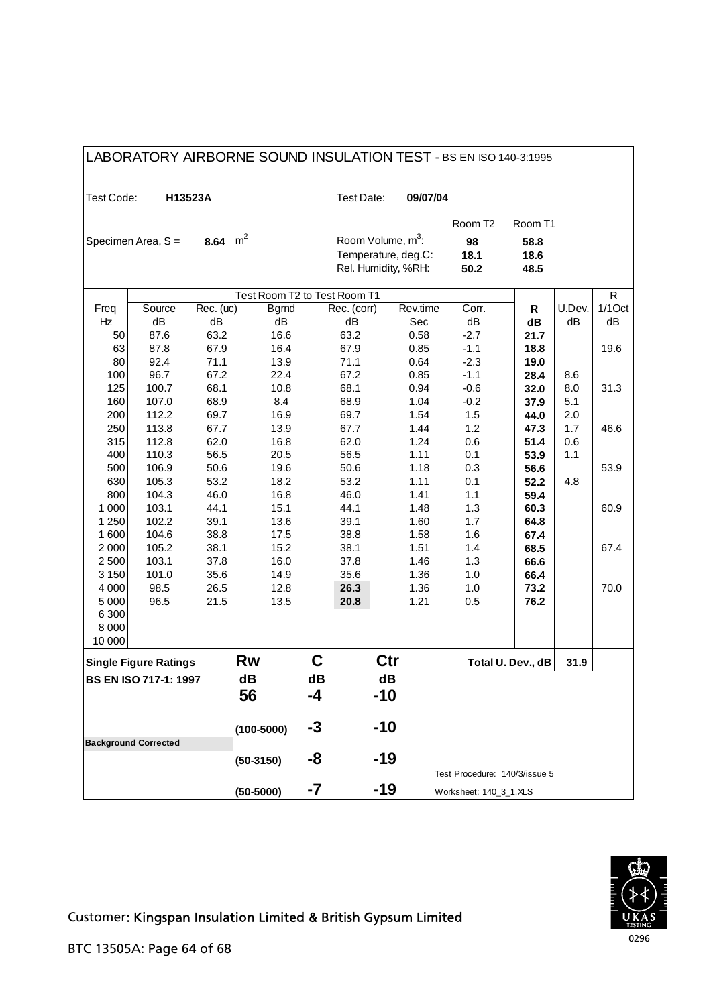| LABORATORY AIRBORNE SOUND INSULATION TEST - BS EN ISO 140-3:1995 |                              |              |                              |              |              |                               |                               |                   |        |           |  |  |
|------------------------------------------------------------------|------------------------------|--------------|------------------------------|--------------|--------------|-------------------------------|-------------------------------|-------------------|--------|-----------|--|--|
| Test Code:                                                       |                              | H13523A      |                              |              | Test Date:   | 09/07/04                      |                               |                   |        |           |  |  |
|                                                                  |                              |              |                              |              |              |                               | Room T <sub>2</sub>           | Room T1           |        |           |  |  |
|                                                                  | Specimen Area, S =           | 8.64         | $m^2$                        |              |              | Room Volume, m <sup>3</sup> : | 98                            | 58.8              |        |           |  |  |
|                                                                  |                              |              |                              |              |              | Temperature, deg.C:           | 18.1                          | 18.6              |        |           |  |  |
|                                                                  |                              |              |                              |              |              | Rel. Humidity, %RH:           | 50.2                          | 48.5              |        |           |  |  |
|                                                                  |                              |              | Test Room T2 to Test Room T1 |              |              |                               |                               |                   |        |           |  |  |
|                                                                  |                              |              |                              | $\mathsf{R}$ |              |                               |                               |                   |        |           |  |  |
| Freq                                                             | Source                       | Rec. (uc)    | <b>Bgrnd</b>                 |              | Rec. (corr)  | Rev.time                      | Corr.                         | R                 | U.Dev. | $1/1$ Oct |  |  |
| Hz                                                               | dB                           | dB           | dB                           |              | dB           | Sec                           | dB                            | dB                | dB     | dB        |  |  |
| 50<br>63                                                         | 87.6<br>87.8                 | 63.2<br>67.9 | 16.6<br>16.4                 |              | 63.2<br>67.9 | 0.58<br>0.85                  | $-2.7$                        | 21.7              |        |           |  |  |
| 80                                                               | 92.4                         | 71.1         | 13.9                         |              | 71.1         | 0.64                          | $-1.1$<br>$-2.3$              | 18.8<br>19.0      |        | 19.6      |  |  |
| 100                                                              | 96.7                         | 67.2         | 22.4                         |              | 67.2         | 0.85                          | $-1.1$                        | 28.4              | 8.6    |           |  |  |
| 125                                                              | 100.7                        | 68.1         | 10.8                         |              | 68.1         | 0.94                          | $-0.6$                        | 32.0              | 8.0    | 31.3      |  |  |
| 160                                                              | 107.0                        | 68.9         | 8.4                          |              | 68.9         | 1.04                          | $-0.2$                        | 37.9              | 5.1    |           |  |  |
| 200                                                              | 112.2                        | 69.7         | 16.9                         |              | 69.7         | 1.54                          | 1.5                           | 44.0              | 2.0    |           |  |  |
| 250                                                              | 113.8                        | 67.7         | 13.9                         |              | 67.7         | 1.44                          | 1.2                           | 47.3              | 1.7    | 46.6      |  |  |
| 315                                                              | 112.8                        | 62.0         | 16.8                         |              | 62.0         | 1.24                          | 0.6                           | 51.4              | 0.6    |           |  |  |
| 400                                                              | 110.3                        | 56.5         | 20.5                         |              | 56.5         | 1.11                          | 0.1                           | 53.9              | 1.1    |           |  |  |
| 500                                                              | 106.9                        | 50.6         | 19.6                         |              | 50.6         | 1.18                          | 0.3                           | 56.6              |        | 53.9      |  |  |
| 630                                                              | 105.3                        | 53.2         | 18.2                         |              | 53.2         | 1.11                          | 0.1                           | 52.2              | 4.8    |           |  |  |
| 800                                                              | 104.3                        | 46.0         | 16.8                         |              | 46.0         | 1.41                          | 1.1                           | 59.4              |        |           |  |  |
| 1 0 0 0                                                          | 103.1                        | 44.1         | 15.1                         |              | 44.1         | 1.48                          | 1.3                           | 60.3              |        | 60.9      |  |  |
| 1 2 5 0                                                          | 102.2                        | 39.1         | 13.6                         |              | 39.1         | 1.60                          | 1.7                           | 64.8              |        |           |  |  |
| 1600                                                             | 104.6                        | 38.8         | 17.5                         |              | 38.8         | 1.58                          | 1.6                           | 67.4              |        |           |  |  |
| 2000                                                             | 105.2                        | 38.1         | 15.2                         |              | 38.1         | 1.51                          | 1.4                           | 68.5              |        | 67.4      |  |  |
| 2500                                                             | 103.1                        | 37.8         | 16.0                         |              | 37.8         | 1.46                          | 1.3                           | 66.6              |        |           |  |  |
| 3 1 5 0                                                          | 101.0                        | 35.6         | 14.9                         |              | 35.6         | 1.36                          | 1.0                           | 66.4              |        |           |  |  |
| 4 0 0 0<br>5 0 0 0                                               | 98.5<br>96.5                 | 26.5<br>21.5 | 12.8<br>13.5                 |              | 26.3         | 1.36<br>1.21                  | 1.0<br>0.5                    | 73.2              |        | 70.0      |  |  |
| 6 3 0 0                                                          |                              |              |                              |              | 20.8         |                               |                               | 76.2              |        |           |  |  |
| 8 0 0 0                                                          |                              |              |                              |              |              |                               |                               |                   |        |           |  |  |
| 10 000                                                           |                              |              |                              |              |              |                               |                               |                   |        |           |  |  |
|                                                                  | <b>Single Figure Ratings</b> |              | Rw                           | C            |              | Ctr                           |                               | Total U. Dev., dB | 31.9   |           |  |  |
|                                                                  | <b>BS EN ISO 717-1: 1997</b> |              | dB                           | dB           |              | dB                            |                               |                   |        |           |  |  |
|                                                                  |                              |              | 56                           | -4           |              | $-10$                         |                               |                   |        |           |  |  |
|                                                                  |                              |              |                              |              |              |                               |                               |                   |        |           |  |  |
|                                                                  |                              |              | $(100 - 5000)$               | -3           |              | $-10$                         |                               |                   |        |           |  |  |
|                                                                  | <b>Background Corrected</b>  |              |                              |              |              |                               |                               |                   |        |           |  |  |
|                                                                  |                              |              | $(50-3150)$                  | -8           |              | -19                           |                               |                   |        |           |  |  |
|                                                                  |                              |              |                              |              |              |                               | Test Procedure: 140/3/issue 5 |                   |        |           |  |  |
|                                                                  |                              |              | $(50-5000)$                  | -7           |              | -19                           | Worksheet: 140_3_1.XLS        |                   |        |           |  |  |

# LABORATORY AIRBORNE SOUND INSULATION TEST - BS EN ISO 140-3:1995



٦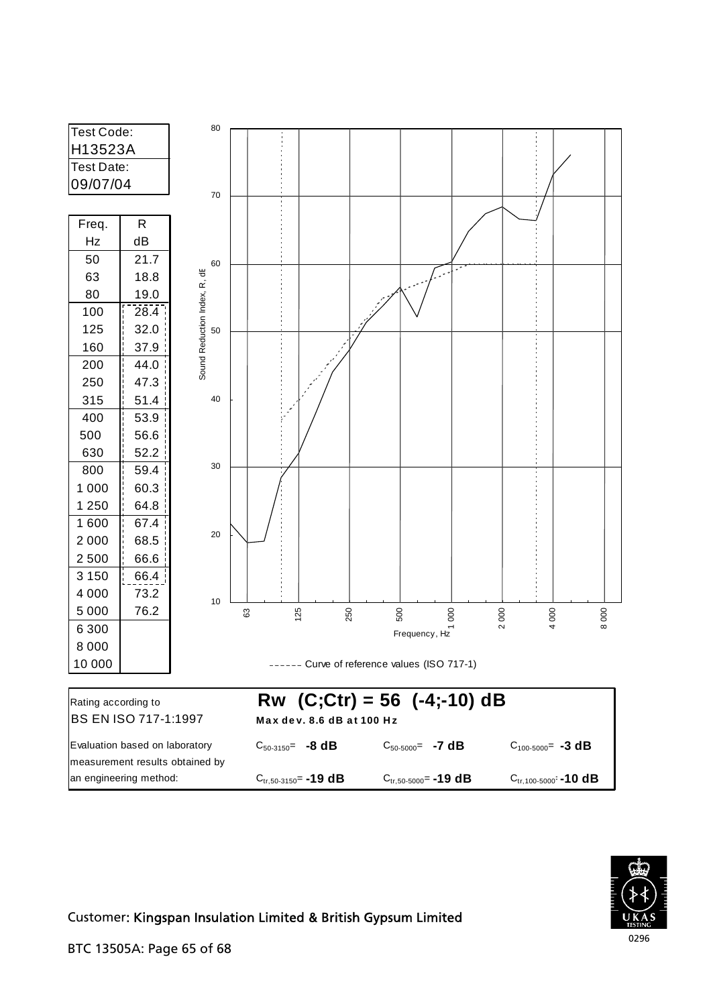